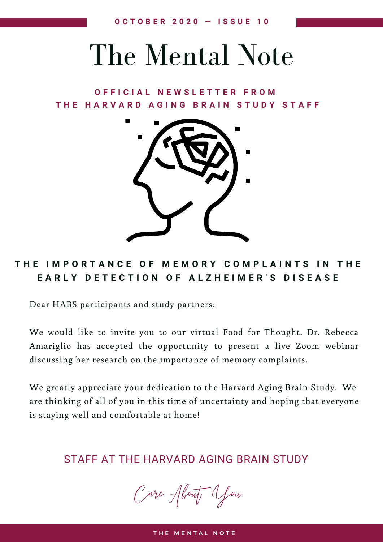## The Mental Note

## **O F F I C I A L N E W S L E T T E R F R O M** THE HARVARD AGING BRAIN STUDY STAFF



## THE IMPORTANCE OF MEMORY COMPLAINTS IN THE EARLY DETECTION OF ALZHEIMER'S DISEASE

Dear HABS participants and study partners:

We would like to invite you to our virtual Food for Thought. Dr. Rebecca Amariglio has accepted the opportunity to present a live Zoom webinar discussing her research on the importance of memory complaints.

We greatly appreciate your dedication to the Harvard Aging Brain Study. We are thinking of all of you in this time of uncertainty and hoping that everyone is staying well and comfortable at home!

STAFF AT THE HARVARD AGING BRAIN STUDY

Care About You

THE MENTAL NOTE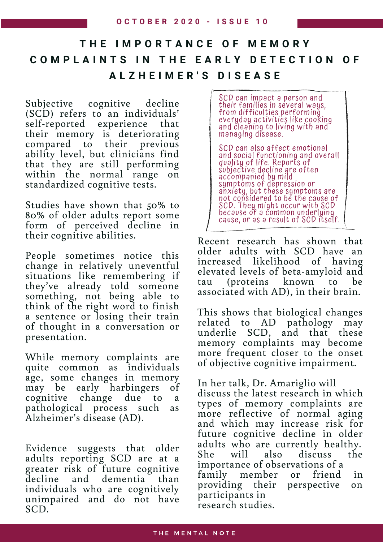## **T H E I M P O R T A N C E O F M E M O R Y** COMPLAINTS IN THE EARLY DETECTION OF **A L Z H E I M E R ' S D I S E A S E**

Subjective cognitive decline (SCD) refers to an individuals' self-reported experience that their memory is deteriorating compared to their previous ability level, but clinicians find that they are still performing within the normal range on standardized cognitive tests.

Studies have shown that 50% to 80% of older adults report some form of perceived decline in their cognitive abilities.

People sometimes notice this change in relatively uneventful situations like remembering if they've already told someone something, not being able to think of the right word to finish a sentence or losing their train of thought in a conversation or presentation.

While memory complaints are quite common as individuals age, some changes in memory may be early harbingers of cognitive change due to a pathological process such as Alzheimer's disease (AD).

Evidence suggests that older adults reporting SCD are at a greater risk of future cognitive decline and dementia than individuals who are cognitively unimpaired and do not have SCD.

SCD can impact a person and their families in several ways, from difficulties performing everyday activities like cooking and cleaning to living with and managing disease. SCD can also affect emotional and social functioning and overall quality of life. Reports of subjective decline are often accompanied by mild symptoms of depression or

anxiety, but these symptoms are not considered to be the cause of SCD. They might occur with SCD because of a common underlying cause, or as a result of SCD itself.

Recent research has shown that older adults with SCD have an increased likelihood of having elevated levels of beta-amyloid and tau (proteins known to be associated with AD), in their brain.

This shows that biological changes related to AD pathology may underlie SCD, and that these memory complaints may become more frequent closer to the onset of objective cognitive impairment.

In her talk, Dr. Amariglio will discuss the latest research in which types of memory complaints are more reflective of normal aging and which may increase risk for future cognitive decline in older adults who are currently healthy. She will also discuss the importance of observations of a family member or friend in providing their perspective on participants in research studies.